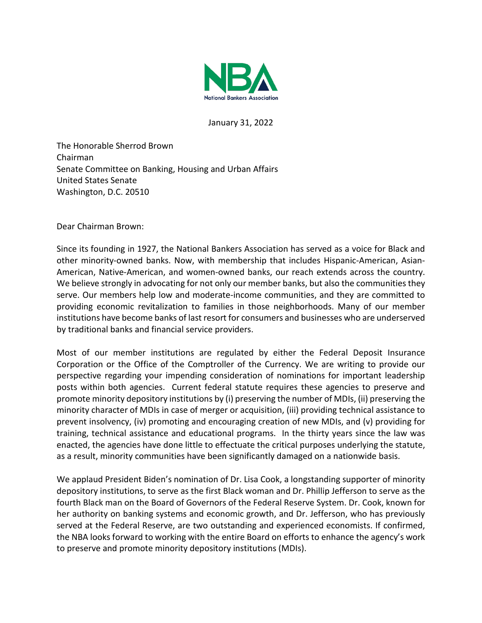

January 31, 2022

The Honorable Sherrod Brown Chairman Senate Committee on Banking, Housing and Urban Affairs United States Senate Washington, D.C. 20510

Dear Chairman Brown:

Since its founding in 1927, the National Bankers Association has served as a voice for Black and other minority-owned banks. Now, with membership that includes Hispanic-American, Asian-American, Native-American, and women-owned banks, our reach extends across the country. We believe strongly in advocating for not only our member banks, but also the communities they serve. Our members help low and moderate-income communities, and they are committed to providing economic revitalization to families in those neighborhoods. Many of our member institutions have become banks of last resort for consumers and businesses who are underserved by traditional banks and financial service providers.

Most of our member institutions are regulated by either the Federal Deposit Insurance Corporation or the Office of the Comptroller of the Currency. We are writing to provide our perspective regarding your impending consideration of nominations for important leadership posts within both agencies. Current federal statute requires these agencies to preserve and promote minority depository institutions by (i) preserving the number of MDIs, (ii) preserving the minority character of MDIs in case of merger or acquisition, (iii) providing technical assistance to prevent insolvency, (iv) promoting and encouraging creation of new MDIs, and (v) providing for training, technical assistance and educational programs. In the thirty years since the law was enacted, the agencies have done little to effectuate the critical purposes underlying the statute, as a result, minority communities have been significantly damaged on a nationwide basis.

We applaud President Biden's nomination of Dr. Lisa Cook, a longstanding supporter of minority depository institutions, to serve as the first Black woman and Dr. Phillip Jefferson to serve as the fourth Black man on the Board of Governors of the Federal Reserve System. Dr. Cook, known for her authority on banking systems and economic growth, and Dr. Jefferson, who has previously served at the Federal Reserve, are two outstanding and experienced economists. If confirmed, the NBA looks forward to working with the entire Board on efforts to enhance the agency's work to preserve and promote minority depository institutions (MDIs).